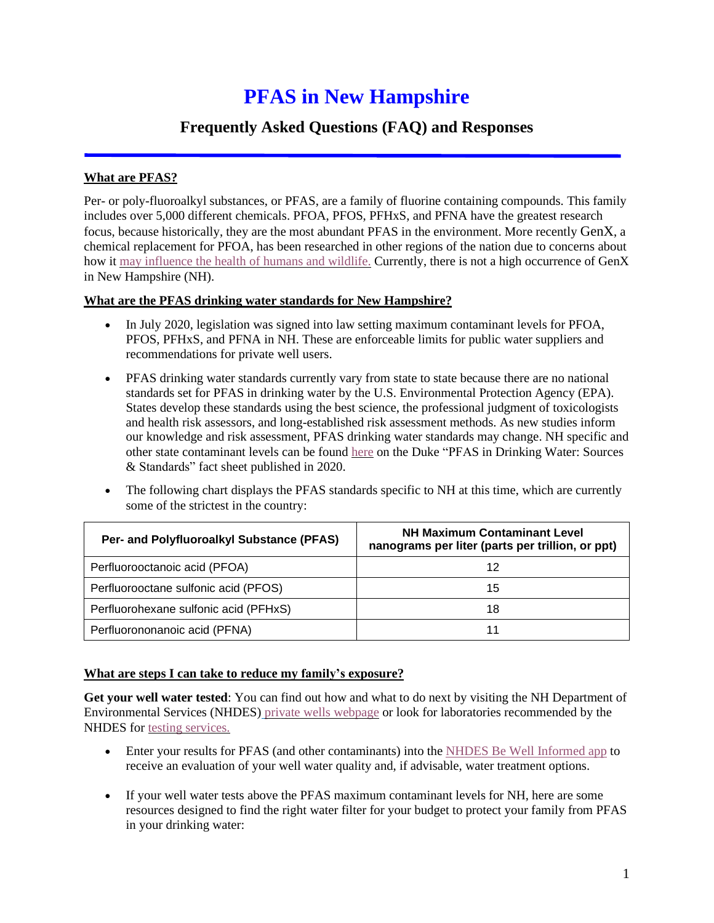# **PFAS in New Hampshire**

# **Frequently Asked Questions (FAQ) and Responses**

### **What are PFAS?**

Per- or poly-fluoroalkyl substances, or PFAS, are a family of fluorine containing compounds. This family includes over 5,000 different chemicals. PFOA, PFOS, PFHxS, and PFNA have the greatest research focus, because historically, they are the most abundant PFAS in the environment. More recently [GenX](https://genxstudy.ncsu.edu/), a chemical replacement for PFOA, has been researched in other regions of the nation due to concerns about how it may [influence](https://genxstudy.ncsu.edu/) the health of humans and wildlife. Currently, there is not a high occurrence of GenX in New Hampshire (NH).

#### **What are the PFAS drinking water standards for New Hampshire?**

- In July 2020, legislation was signed into law setting maximum contaminant levels for PFOA, PFOS, PFHxS, and PFNA in NH. These are enforceable limits for public water suppliers and recommendations for private well users.
- PFAS drinking water standards currently vary from state to state because there are no national standards set for PFAS in drinking water by the U.S. Environmental Protection Agency (EPA). States develop these standards using the best science, the professional judgment of toxicologists and health risk assessors, and long-established risk assessment methods. As new studies inform our knowledge and risk assessment, PFAS drinking water standards may change. NH specific and other state contaminant levels can be found [here](https://sites.nicholas.duke.edu/stapletonlab/files/2020/09/PFAS-in-Drinking-Water-9-17-20.pdf) on the Duke "PFAS in Drinking Water: Sources & Standards" fact sheet published in 2020.
- The following chart displays the PFAS standards specific to NH at this time, which are currently some of the strictest in the country:

| Per- and Polyfluoroalkyl Substance (PFAS) | <b>NH Maximum Contaminant Level</b><br>nanograms per liter (parts per trillion, or ppt) |
|-------------------------------------------|-----------------------------------------------------------------------------------------|
| Perfluorooctanoic acid (PFOA)             | 12                                                                                      |
| Perfluorooctane sulfonic acid (PFOS)      | 15                                                                                      |
| Perfluorohexane sulfonic acid (PFHxS)     | 18                                                                                      |
| Perfluorononanoic acid (PFNA)             | 11                                                                                      |

#### **What are steps I can take to reduce my family's exposure?**

**Get your well water tested**: You can find out how and what to do next by visiting the NH Department of Environmental Services (NHDES) private wells [webpage](https://www.des.nh.gov/water/drinking-water/private-wells) or look for laboratories recommended by the NHDES for testing [services.](https://www4.des.state.nh.us/nh-pfas-investigation/wp-content/uploads/2019/06/pfoa-testing-labs.pdf)

- Enter your results for PFAS (and other contaminants) into the NHDES Be Well [Informed](https://www4.des.state.nh.us/DWITool/Welcome.aspx) app to receive an evaluation of your well water quality and, if advisable, water treatment options.
- If your well water tests above the PFAS maximum contaminant levels for NH, here are some resources designed to find the right water filter for your budget to protect your family from PFAS in your drinking water: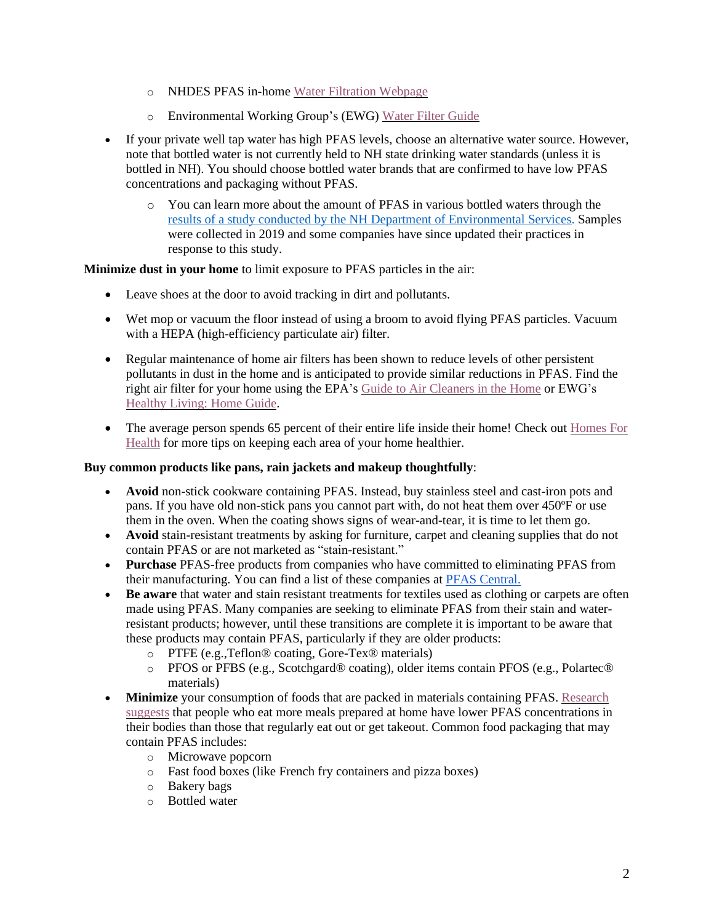- o NHDES PFAS in-home Water Filtration [Webpage](https://www4.des.state.nh.us/nh-pfas-investigation/?page_id=171)
- o Environmental Working Group's (EWG) Water Filter [Guide](https://www.ewg.org/tapwater/water-filter-guide.php?filtertype=All+filter+types&technology=All+filter+technologies&claim=PFOA%2FPFOS)
- If your private well tap water has high PFAS levels, choose an alternative water source. However, note that bottled water is not currently held to NH state drinking water standards (unless it is bottled in NH). You should choose bottled water brands that are confirmed to have low PFAS concentrations and packaging without PFAS.
	- o You can learn more about the amount of PFAS in various bottled waters through the results of a study conducted by the NH Department of [Environmental](https://www4.des.state.nh.us/nh-pfas-investigation/wp-content/uploads/Bottled-Water-Summary-004.pdf) Services. Samples were collected in 2019 and some companies have since updated their practices in response to this study.

**Minimize dust in your home** to limit exposure to PFAS particles in the air:

- Leave shoes at the door to avoid tracking in dirt and pollutants.
- Wet mop or vacuum the floor instead of using a broom to avoid flying PFAS particles. Vacuum with a HEPA (high-efficiency particulate air) filter.
- Regular maintenance of home air filters has been shown to reduce levels of other persistent pollutants in dust in the home and is anticipated to provide similar reductions in PFAS. Find the right air filter for your home using the EPA's Guide to Air [Cleaners](https://www.epa.gov/sites/production/files/2018-07/documents/guide_to_air_cleaners_in_the_home_2nd_edition.pdf) in the Home or EWG's [Healthy](https://www.ewg.org/healthyhomeguide/air-filters/) Living: Home Guide.
- The average person spends 65 percent of their entire life inside their home! Check out **[Homes](https://homes.forhealth.org/)** For [Health](https://homes.forhealth.org/) for more tips on keeping each area of your home healthier.

#### **Buy common products like pans, rain jackets and makeup thoughtfully**:

- **Avoid** non-stick cookware containing PFAS. Instead, buy stainless steel and cast-iron pots and pans. If you have old non-stick pans you cannot part with, do not heat them over 450ºF or use them in the oven. When the coating shows signs of wear-and-tear, it is time to let them go.
- **Avoid** stain-resistant treatments by asking for furniture, carpet and cleaning supplies that do not contain PFAS or are not marketed as "stain-resistant."
- **Purchase** PFAS-free products from companies who have committed to eliminating PFAS from their manufacturing. You can find a list of these companies at PFAS [Central.](https://pfascentral.org/pfas-free-products/?fbclid=IwAR1313WBF3GtCkcuFWDkmB2VC-tLlhTQQR10xbDSqSg580FnThQU3e_Hd24)
- **Be aware** that water and stain resistant treatments for textiles used as clothing or carpets are often made using PFAS. Many companies are seeking to eliminate PFAS from their stain and waterresistant products; however, until these transitions are complete it is important to be aware that these products may contain PFAS, particularly if they are older products:
	- o PTFE (e.g.,Teflon® coating, Gore-Tex® materials)
	- o PFOS or PFBS (e.g., Scotchgard® coating), older items contain PFOS (e.g., Polartec® materials)
- **Minimize** your consumption of foods that are packed in materials containing PFAS. [Research](https://ehp.niehs.nih.gov/doi/10.1289/EHP6335) [suggests](https://ehp.niehs.nih.gov/doi/10.1289/EHP6335) that people who eat more meals prepared at home have lower PFAS concentrations in their bodies than those that regularly eat out or get takeout. Common food packaging that may contain PFAS includes:
	- o Microwave popcorn
	- o Fast food boxes (like French fry containers and pizza boxes)
	- o Bakery bags
	- o Bottled water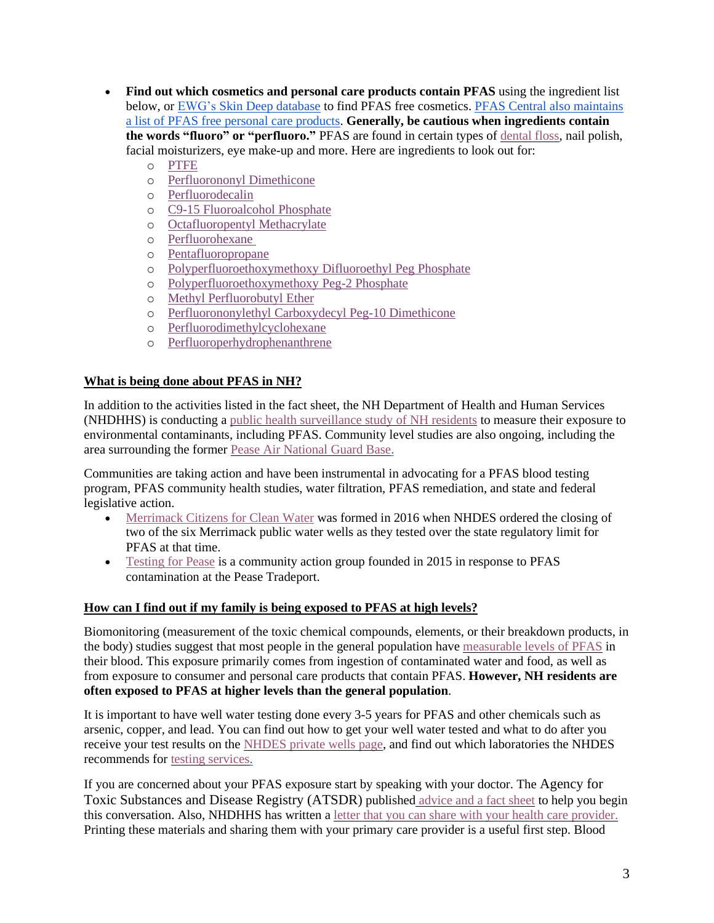- **Find out which cosmetics and personal care products contain PFAS** using the ingredient list below, or [EWG's](https://www.ewg.org/skindeep/) Skin Deep database to find PFAS free cosmetics. PFAS [Central](https://pfascentral.org/pfas-free-products/?fbclid=IwAR1313WBF3GtCkcuFWDkmB2VC-tLlhTQQR10xbDSqSg580FnThQU3e_Hd24) also maintains a list of PFAS free personal care products. **Generally, be cautious when ingredients contain the words "fluoro" or "perfluoro."** PFAS are found in certain types of [dental](https://www.hsph.harvard.edu/news/hsph-in-the-news/dental-floss-harmful-chemicals/) floss, nail polish, facial moisturizers, eye make-up and more. Here are ingredients to look out for:
	- o [PTFE](https://www.ewg.org/skindeep/ingredient/723141/PTFE_%2528TEFLON%2529/)
	- o [Perfluorononyl](https://www.ewg.org/skindeep/ingredient/704759/PERFLUORONONYL_DIMETHICONE/) Dimethicone
	- o [Perfluorodecalin](https://www.ewg.org/skindeep/ingredient/704757/PERFLUORODECALIN/)
	- o C9-15 [Fluoroalcohol](https://www.ewg.org/skindeep/ingredient/700940/C9-15_FLUOROALCOHOL_PHOSPHATE/) Phosphate
	- o [Octafluoropentyl](https://www.ewg.org/skindeep/ingredient/862133/OCTAFLUOROPENTYL_METHACRYLATE/) Methacrylate
	- o [Perfluorohexane](https://www.ewg.org/skindeep/ingredient/722105/PERFLUOROHEXANE/)
	- o [Pentafluoropropane](https://www.ewg.org/skindeep/ingredient/730020/PENTAFLUOROPROPANE/)
	- o [Polyperfluoroethoxymethoxy](https://www.ewg.org/skindeep/ingredient/722560/POLYPERFLUOROETHOXYMETHOXY_DIFLUOROETHYL_PEG_PHOSPHATE/) Difluoroethyl Peg Phosphate
	- o [Polyperfluoroethoxymethoxy](https://www.ewg.org/skindeep/ingredient/705086/POLYPERFLUOROETHOXYMETHOXY_PEG-2_PHOSPHATE/) Peg-2 Phosphate
	- o Methyl [Perfluorobutyl](https://www.ewg.org/skindeep/ingredient/720675/METHYL_PERFLUOROBUTYL_ETHER/) Ether
	- o [Perfluorononylethyl](https://www.ewg.org/skindeep/ingredient/722110/PERFLUORONONYLETHYL_CARBOXYDECYL_PEG-10_DIMETHICONE/) Carboxydecyl Peg-10 Dimethicone
	- o [Perfluorodimethylcyclohexane](https://www.ewg.org/skindeep/ingredient/722103/PERFLUORODIMETHYLCYCLOHEXANE/)
	- o [Perfluoroperhydrophenanthrene](https://www.ewg.org/skindeep/ingredient/722119/PERFLUOROPERHYDROPHENANTHRENE/)

#### **What is being done about PFAS in NH?**

In addition to the activities listed in the fact sheet, the NH Department of Health and Human Services (NHDHHS) is conducting a public health [surveillance](https://www.dhhs.nh.gov/dphs/lab/statewide-study.htm) study of NH residents to measure their exposure to environmental contaminants, including PFAS. Community level studies are also ongoing, including the area surrounding the former Pease Air [National](http://www.testingforpease.com/) Guard Base.

Communities are taking action and have been instrumental in advocating for a PFAS blood testing program, PFAS community health studies, water filtration, PFAS remediation, and state and federal legislative action.

- [Merrimack Citizens for Clean Water](https://www.cleanwaternh.org/) was formed in 2016 when NHDES ordered the closing of two of the six Merrimack public water wells as they tested over the state regulatory limit for PFAS at that time.
- [Testing for Pease](http://www.testingforpease.com/) is a community action group founded in 2015 in response to PFAS contamination at the Pease Tradeport.

#### **How can I find out if my family is being exposed to PFAS at high levels?**

Biomonitoring (measurement of the toxic chemical compounds, elements, or their breakdown products, in the body) studies suggest that most people in the general population have [measurable](https://www.atsdr.cdc.gov/pfas/health-effects/us-population.html#:~:text=Since%201999%2C%20the%20National%20Health,children%20in%20the%20United%20States) levels of PFAS in their blood. This exposure primarily comes from ingestion of contaminated water and food, as well as from exposure to consumer and personal care products that contain PFAS. **However, NH residents are often exposed to PFAS at higher levels than the general population**.

It is important to have well water testing done every 3-5 years for PFAS and other chemicals such as arsenic, copper, and lead. You can find out how to get your well water tested and what to do after you receive your test results on the [NHDES](https://www.des.nh.gov/water/drinking-water/private-wells) private wells page, and find out which laboratories the NHDES recommends for testing [services.](https://www4.des.state.nh.us/nh-pfas-investigation/wp-content/uploads/2019/06/pfoa-testing-labs.pdf)

If you are concerned about your PFAS exposure start by speaking with your doctor. The Agency for Toxic Substances and Disease Registry (ATSDR) published [advice](https://www.atsdr.cdc.gov/pfas/health-effects/talk-to-your-doctor.html) and a fact sheet to help you begin this conversation. Also, NHDHHS has written a letter that you can share with your health care [provider.](https://www.dhhs.nh.gov/dphs/pfcs/documents/pfas-provider-report.pdf) Printing these materials and sharing them with your primary care provider is a useful first step. Blood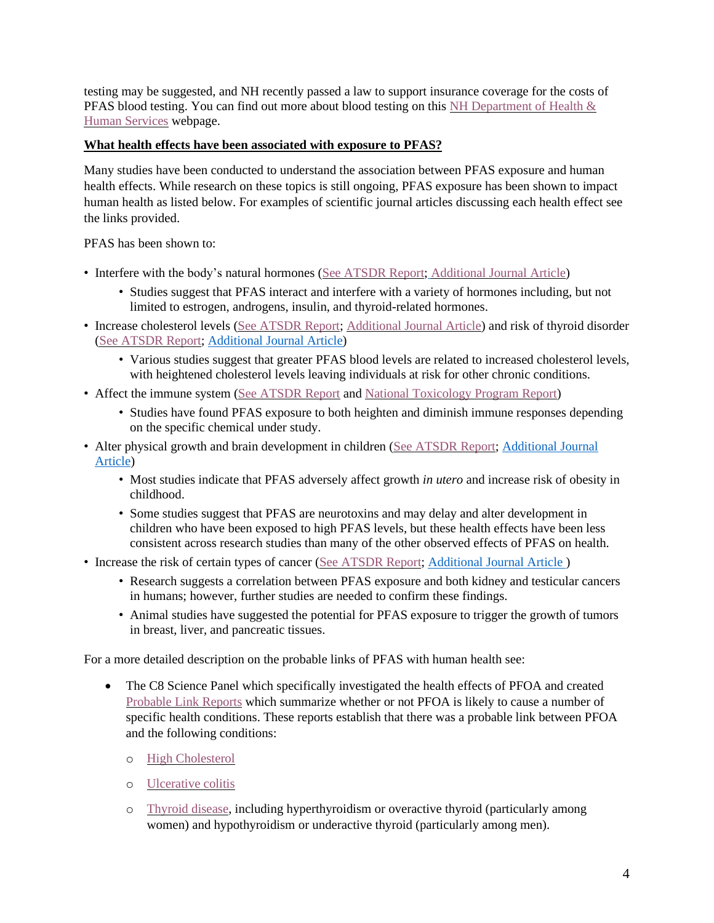testing may be suggested, and NH recently passed a law to support insurance coverage for the costs of PFAS blood testing. You can find out more about blood testing on this NH [Department](https://www.dhhs.nh.gov/dphs/pfcs/blood-testing.htm) of Health & Human [Services](https://www.dhhs.nh.gov/dphs/pfcs/blood-testing.htm) webpage.

#### **What health effects have been associated with exposure to PFAS?**

Many studies have been conducted to understand the association between PFAS exposure and human health effects. While research on these topics is still ongoing, PFAS exposure has been shown to impact human health as listed below. For examples of scientific journal articles discussing each health effect see the links provided.

PFAS has been shown to:

- Interfere with the body's natural hormones (See [ATSDR](https://wwwn.cdc.gov/TSP/ToxProfiles/ToxProfiles.aspx?id=1117&tid=237) Report; [Additional](https://www.ncbi.nlm.nih.gov/pmc/articles/PMC3335904/) Journal Article)
	- Studies suggest that PFAS interact and interfere with a variety of hormones including, but not limited to estrogen, androgens, insulin, and thyroid-related hormones.
- Increase cholesterol levels (See [ATSDR](https://wwwn.cdc.gov/TSP/ToxProfiles/ToxProfiles.aspx?id=1117&tid=237) Report; [Additional](https://pubmed.ncbi.nlm.nih.gov/20123614/) Journal Article) and risk of thyroid disorder (See [ATSDR](https://wwwn.cdc.gov/TSP/ToxProfiles/ToxProfiles.aspx?id=1117&tid=237) Report; [Additional](https://www.ncbi.nlm.nih.gov/pmc/articles/PMC2866686/#__ffn_sectitle) Journal Article)
	- Various studies suggest that greater PFAS blood levels are related to increased cholesterol levels, with heightened cholesterol levels leaving individuals at risk for other chronic conditions.
- Affect the immune system (See [ATSDR](https://wwwn.cdc.gov/TSP/ToxProfiles/ToxProfiles.aspx?id=1117&tid=237) Report and National [Toxicology](https://ntp.niehs.nih.gov/ntp/ohat/pfoa_pfos/pfoa_pfosmonograph_508.pdf) Program Report)
	- Studies have found PFAS exposure to both heighten and diminish immune responses depending on the specific chemical under study.
- Alter physical growth and brain development in children (See [ATSDR](https://wwwn.cdc.gov/TSP/ToxProfiles/ToxProfiles.aspx?id=1117&tid=237) Report; [Additional](https://www.ncbi.nlm.nih.gov/pmc/articles/PMC5322271/) Journal [Article\)](https://www.ncbi.nlm.nih.gov/pmc/articles/PMC5322271/)
	- Most studies indicate that PFAS adversely affect growth *in utero* and increase risk of obesity in childhood.
	- Some studies suggest that PFAS are neurotoxins and may delay and alter development in children who have been exposed to high PFAS levels, but these health effects have been less consistent across research studies than many of the other observed effects of PFAS on health.
- Increase the risk of certain types of cancer (See [ATSDR](https://wwwn.cdc.gov/TSP/ToxProfiles/ToxProfiles.aspx?id=1117&tid=237) Report; [Additional](https://www.ncbi.nlm.nih.gov/pmc/articles/PMC3855507/#:~:text=The%20C8%20Science%20Panel%20studied,%2C%20and%20pregnancy%2Dinduced%20hypertension) Journal Article)
	- Research suggests a correlation between PFAS exposure and both kidney and testicular cancers in humans; however, further studies are needed to confirm these findings.
	- Animal studies have suggested the potential for PFAS exposure to trigger the growth of tumors in breast, liver, and pancreatic tissues.

For a more detailed description on the probable links of PFAS with human health see:

- The C8 Science Panel which specifically investigated the health effects of PFOA and created [Probable](http://www.c8sciencepanel.org/prob_link.html) Link Reports which summarize whether or not PFOA is likely to cause a number of specific health conditions. These reports establish that there was a probable link between PFOA and the following conditions:
	- o High [Cholesterol](http://www.c8sciencepanel.org/pdfs/Probable_Link_C8_Heart_Disease_29Oct2012.pdf)
	- o [Ulcerative](http://www.c8sciencepanel.org/pdfs/Probable_Link_C8_Autoimmune_Disease_30Jul2012.pdf) colitis
	- o [Thyroid](http://www.c8sciencepanel.org/pdfs/Probable_Link_C8_Thyroid_30Jul2012.pdf) disease, including hyperthyroidism or overactive thyroid (particularly among women) and hypothyroidism or underactive thyroid (particularly among men).